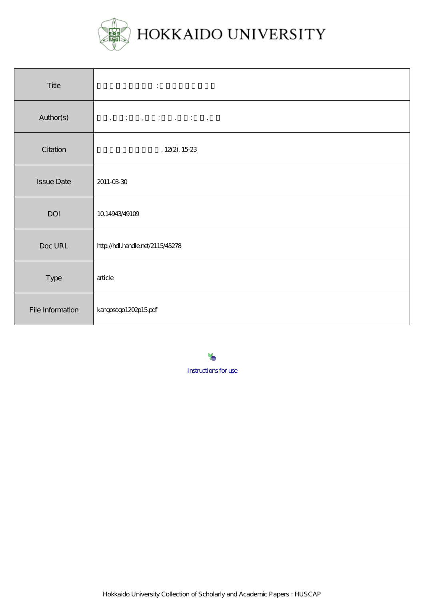

| Title             | $\ddot{\phantom{a}}$                                                                                                                                                                                                                                                                                                                                                                                                                    |  |  |  |  |  |
|-------------------|-----------------------------------------------------------------------------------------------------------------------------------------------------------------------------------------------------------------------------------------------------------------------------------------------------------------------------------------------------------------------------------------------------------------------------------------|--|--|--|--|--|
| Author(s)         | $\label{eq:3.1} \begin{array}{cccccccccccccc} \mathbb{I}_1 & \mathbb{I}_1 & \mathbb{I}_2 & \mathbb{I}_3 & \mathbb{I}_3 & \mathbb{I}_4 & \mathbb{I}_5 & \mathbb{I}_5 & \mathbb{I}_6 & \mathbb{I}_7 & \mathbb{I}_7 & \mathbb{I}_7 & \mathbb{I}_7 & \mathbb{I}_7 & \mathbb{I}_7 & \mathbb{I}_7 & \mathbb{I}_7 & \mathbb{I}_7 & \mathbb{I}_7 & \mathbb{I}_7 & \mathbb{I}_7 & \mathbb{I}_7 & \mathbb{I}_7 & \mathbb{I}_7 & \mathbb{I}_7 & \$ |  |  |  |  |  |
| Citation          | , $12(2)$ , $15.23$                                                                                                                                                                                                                                                                                                                                                                                                                     |  |  |  |  |  |
| <b>Issue Date</b> | 2011-03-30                                                                                                                                                                                                                                                                                                                                                                                                                              |  |  |  |  |  |
| DOI               | 1014943/49109                                                                                                                                                                                                                                                                                                                                                                                                                           |  |  |  |  |  |
| Doc URL           | http://hdl.handle.net/2115/45278                                                                                                                                                                                                                                                                                                                                                                                                        |  |  |  |  |  |
| Type              | article                                                                                                                                                                                                                                                                                                                                                                                                                                 |  |  |  |  |  |
| File Information  | kangosogo1202p15pdf                                                                                                                                                                                                                                                                                                                                                                                                                     |  |  |  |  |  |

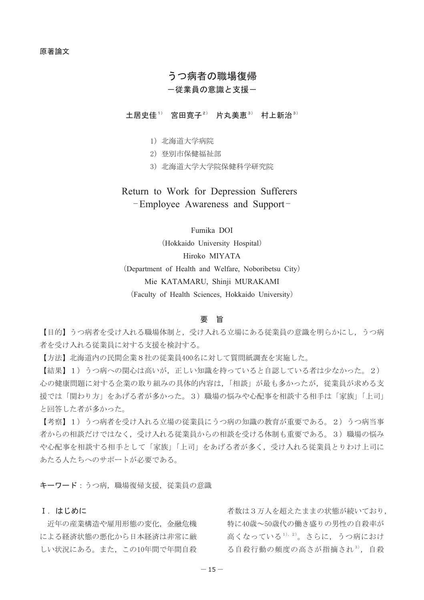# うつ病者の職場復帰

# ー従業員の意識と支援ー

土居史佳1) 宮田寛子2) 片丸美恵3) 村上新治3)

- 1) 北海道大学病院
- 2) 登別市保健福祉部
- 3) 北海道大学大学院保健科学研究院

# Return to Work for Depression Sufferers -Employee Awareness and Support-

# Fumika DOI

(Hokkaido University Hospital) Hiroko MIYATA

(Department of Health and Welfare, Noboribetsu City)

Mie KATAMARU, Shinji MURAKAMI

(Faculty of Health Sciences, Hokkaido University)

### 要旨

【目的】うつ病者を受け入れる職場体制と、受け入れる立場にある従業員の意識を明らかにし、うつ病 者を受け入れる従業員に対する支援を検討する。

【方法】北海道内の民間企業8社の従業員400名に対して質問紙調査を実施した。

【結果】1)うつ病への関心は高いが、正しい知識を持っていると自認している者は少なかった。2) 心の健康問題に対する企業の取り組みの具体的内容は、「相談」が最も多かったが、従業員が求める支 援では「関わり方」をあげる者が多かった。3)職場の悩みや心配事を相談する相手は「家族」「上司」 と回答した者が多かった。

【考察】1)うつ病者を受け入れる立場の従業員にうつ病の知識の教育が重要である。2)うつ病当事 者からの相談だけではなく、受け入れる従業員からの相談を受ける体制も重要である。3)職場の悩み や心配事を相談する相手として「家族」「上司」をあげる者が多く、受け入れる従業員とりわけ上司に あたる人たちへのサポートが必要である。

キーワード:うつ病, 職場復帰支援, 従業員の意識

## I. はじめに

近年の産業構造や雇用形態の変化、金融危機 による経済状態の悪化から日本経済は非常に厳 しい状況にある。また、この10年間で年間自殺

者数は3万人を超えたままの状態が続いており, 特に40歳~50歳代の働き盛りの男性の自殺率が 高くなっている1), 2)。さらに、うつ病におけ る自殺行動の頻度の高さが指摘され3), 自殺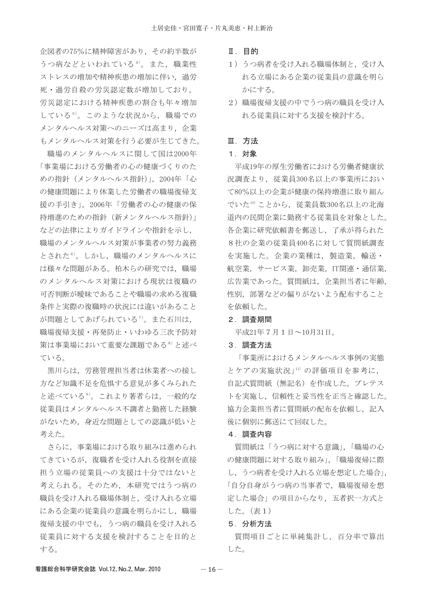企図者の75%に精神障害があり、その約半数が うつ病などといわれている<sup>4)</sup>。また, 職業性 ストレスの増加や精神疾患の増加に伴い、過労 死·過労自殺の労災認定数が増加しており、 労災認定における精神疾患の割合も年々増加 している5)。このような状況から、職場での メンタルヘルス対策へのニーズは高まり、企業 もメンタルヘルス対策を行う必要が生じてきた。

職場のメンタルヘルスに関して国は2000年 「事業場における労働者の心の健康づくりのた めの指針 (メンタルヘルス指針)」, 2004年「心 の健康問題により休業した労働者の職場復帰支 援の手引き」, 2006年「労働者の心の健康の保 持増進のための指針 (新メンタルヘルス指針)」 などの法律によりガイドラインや指針を示し、 職場のメンタルヘルス対策が事業者の努力義務 とされた<sup>6)</sup>。しかし、職場のメンタルヘルスに は様々な問題がある。柏木らの研究では、職場 のメンタルヘルス対策における現状は復職の 可否判断が曖昧であることや職場の求める復職 条件と実際の復職時の状況には違いがあること が問題としてあげられている<sup>7)</sup>。また石川は, 職場復帰支援・再発防止・いわゆる三次予防対 策は事業場において重要な課題である<sup>8)</sup>と述べ ている。

黒川らは、労務管理担当者は休業者への接し 方など知識不足を危惧する意見が多くみられた と述べている<sup>9)</sup>。これより著者らは、一般的な 従業員はメンタルヘルス不調者と勤務した経験 がないため、身近な問題としての認識が低いと 考えた。

さらに、事業場における取り組みは進められ てきているが、復職者を受け入れる役割を直接 担う立場の従業員への支援は十分ではないと 考えられる。そのため、本研究ではうつ病の 職員を受け入れる職場体制と、受け入れる立場 にある企業の従業員の意識を明らかにし、職場 復帰支援の中でも、うつ病の職員を受け入れる 従業員に対する支援を検討することを目的と する。

- Ⅱ. 目的
- 1) うつ病者を受け入れる職場体制と、受け入 れる立場にある企業の従業員の意識を明ら かにする。
- 2) 職場復帰支援の中でうつ病の職員を受け入 れる従業員に対する支援を検討する。

### Ⅲ. 方法

## 1. 対象

平成19年の厚生労働省における労働者健康状 況調査より、従業員300名以上の事業所におい て80%以上の企業が健康の保持増進に取り組ん でいた10) ことから、従業員数300名以上の北海 道内の民間企業に勤務する従業員を対象とした。 各企業に研究依頼書を郵送し、了承が得られた 8社の企業の従業員400名に対して質問紙調査 を実施した。企業の業種は、製造業、輸送· 航空業, サービス業, 卸売業, IT関連・通信業, 広告業であった。質問紙は、企業担当者に年齢, 性別、部署などの偏りがないよう配布すること を依頼した。

#### 2. 調査期間

平成21年7月1日~10月31日。

#### 3. 調査方法

「事業所におけるメンタルヘルス事例の実態 とケアの実施状況」11) の評価項目を参考に, 自記式質問紙(無記名)を作成した。プレテス トを実施し、信頼性と妥当性を正当と確認した。 協力企業担当者に質問紙の配布を依頼し、記入 後に個別に郵送にて回収した。

#### 4. 調査内容

質問紙は「うつ病に対する意識」,「職場の心 の健康問題に対する取り組み」,「職場復帰に際 し、うつ病者を受け入れる立場を想定した場合」, 「自分自身がうつ病の当事者で、職場復帰を想 定した場合」の項目からなり、五者択一方式と した。(表1)

#### 5. 分析方法

質問項目ごとに単純集計し、百分率で算出 した。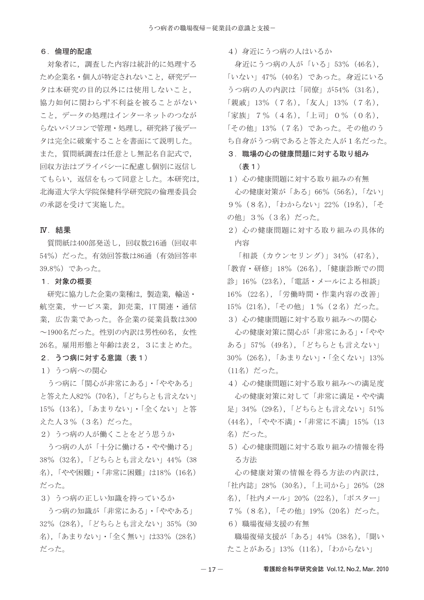### 6. 倫理的配慮

対象者に、調査した内容は統計的に処理する ため企業名・個人が特定されないこと、研究デー タは本研究の目的以外には使用しないこと, 協力如何に関わらず不利益を被ることがない こと、データの処理はインターネットのつなが らないパソコンで管理・処理し、研究終了後デー タは完全に破棄することを書面にて説明した。 また、質問紙調査は任意とし無記名自記式で, 回収方法はプライバシーに配慮し個別に返信し てもらい、返信をもって同意とした。本研究は, 北海道大学大学院保健科学研究院の倫理委員会 の承認を受けて実施した。

### IV. 結果

質問紙は400部発送し、回収数216通 (回収率 54%) だった。有効回答数は86通 (有効回答率 39.8%) であった。

#### 1. 対象の概要

研究に協力した企業の業種は、製造業、輸送・ 航空業, サービス業, 卸売業, IT関連·通信 業、広告業であった。各企業の従業員数は300 ~1900名だった。性別の内訳は男性60名、女性 26名。雇用形態と年齢は表2,3にまとめた。

### 2.うつ病に対する意識(表1)

1) うつ病への関心

うつ病に「関心が非常にある」・「ややある」 と答えた人82% (70名),「どちらとも言えない」 15% (13名), 「あまりない」・「全くない」と答 えた人3% (3名) だった。

2) うつ病の人が働くことをどう思うか

うつ病の人が「十分に働ける・やや働ける」 38% (32名), 「どちらとも言えない」44% (38 名),「やや困難」・「非常に困難」は18% (16名) だった。

3) うつ病の正しい知識を持っているか

うつ病の知識が「非常にある」・「ややある」 32% (28名), 「どちらとも言えない」35% (30 名), 「あまりない」・「全く無い」は33% (28名) だった。

4) 身近にうつ病の人はいるか

身近にうつ病の人が「いる」53% (46名), 「いない」47% (40名) であった。身近にいる うつ病の人の内訳は「同僚」が54% (31名), 「親戚」13% (7名), 「友人」13% (7名), 「家族」 7% (4名), 「上司」 0% (0名), 「その他」13% (7名) であった。その他のう ち自身がうつ病であると答えた人が1名だった。

# 3. 職場の心の健康問題に対する取り組み (表 1 )

1) 心の健康問題に対する取り組みの有無 心の健康対策が「ある」66%(56名),「ない」 9% (8名), 「わからない」22% (19名), 「そ の他」3% (3名) だった。

2) 心の健康問題に対する取り組みの具体的 内容

「相談 (カウンセリング)」34% (47名), 「教育・研修」18%(26名),「健康診断での問 診」16% (23名),「電話・メールによる相談」 16% (22名), 「労働時間・作業内容の改善」 15% (21名), 「その他」1% (2名) だった。 3) 心の健康問題に対する取り組みへの関心

- 心の健康対策に関心が「非常にある」・「やや ある」57% (49名),「どちらとも言えない」 30% (26名), 「あまりない」・「全くない」13% (11名) だった。

- 4) 心の健康問題に対する取り組みへの満足度 心の健康対策に対して「非常に満足・やや満 足」34% (29名),「どちらとも言えない」51% (44名), 「やや不満」・「非常に不満」15% (13 名)だった。
- 5) 心の健康問題に対する取り組みの情報を得 る方法

心の健康対策の情報を得る方法の内訳は, 「社内誌」28% (30名), 「上司から」26% (28 名), 「社内メール」20% (22名), 「ポスター」 7% (8名),「その他」19% (20名) だった。 6) 職場復帰支援の有無

職場復帰支援が「ある」44% (38名),「聞い たことがある」13% (11名), 「わからない」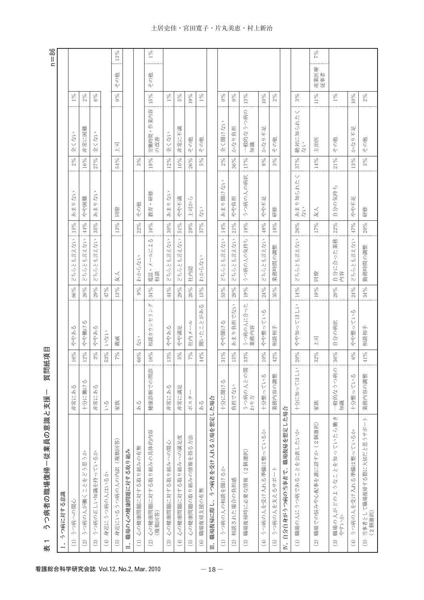| うつ病者の職場復帰ー従業員の意識と支援<br>表                                                                                          | 質問紙項            | Ш      |                                                                 |             |                                                                                                   |        |                               |        |                          |        |             | $n = 86$ |
|-------------------------------------------------------------------------------------------------------------------|-----------------|--------|-----------------------------------------------------------------|-------------|---------------------------------------------------------------------------------------------------|--------|-------------------------------|--------|--------------------------|--------|-------------|----------|
| うつ病に対する意識                                                                                                         |                 |        |                                                                 |             |                                                                                                   |        |                               |        |                          |        |             |          |
| うつ病への関心<br>$\widehat{\Xi}$                                                                                        | 非常にある           | $16\%$ | ややある                                                            | $66\%$      | も言えない<br>$\Delta$<br>$\sim$<br>$\widetilde{C}_{\widetilde{K}}^+$                                  | 15%    | あまりない                         | 2%     | 全くない                     | $1\%$  |             |          |
| $\hat{\mathcal{R}}$<br>う思う<br>$\mathbb{Z}^3$<br>$\frac{1}{2}$<br>$\rightarrowtail$<br>). J<br>うつ病の人が働く<br>$\odot$ | 十分に働ける          | $12\%$ | Ŋ<br>やや働け                                                       | 26%         | も言えない<br>$\rightarrowtail$<br>Δ٨<br>$\mathcal{Q}_\mathsf{f}$<br>$\infty$                          | $44\%$ | やや困難                          | 16%    | 非常に困難                    | 2%     |             |          |
| うつ病の正しい知識を持っているか<br>$\odot$                                                                                       | 非常にある           | $3\%$  | Ŋ<br>ややあ                                                        | $29\%$      | 言えない<br>₩<br>$\Delta J$<br>ي<br>40<br>ΔJ                                                          | 35%    | あまりない                         | 27%    | 全くない                     | $6\%$  |             |          |
| 身近にうつ病の人はいるか<br>$\bigoplus$                                                                                       | いる              | 53%    | いない                                                             | 47%         |                                                                                                   |        |                               |        |                          |        |             |          |
| (複数回答)<br>身近にいるうつ病の人の内訳<br>$\begin{pmatrix} 5 \end{pmatrix}$                                                      | 家族              | 7%     | 親戚                                                              | 13%         | 友人                                                                                                | 13%    | 同僚                            | $54\%$ | 厄<br>떡                   | $0\%$  | その他         | $13\%$   |
| Ⅱ. 職場の心の健康問題に対する取り組み                                                                                              |                 |        |                                                                 |             |                                                                                                   |        |                               |        |                          |        |             |          |
| 心の健康問題に対する取り組みの有無<br>$\widehat{\Xi}$                                                                              | $\frac{4}{5}$   | $66\%$ | たい                                                              | $9\%$       | わからない                                                                                             | 22%    | その他                           | 3%     |                          |        |             |          |
| 心の健康問題に対する取り組みの具体的内容<br>(複数回答)<br>$\odot$                                                                         | 健康診断での問診        | 16%    | 相談カウンセリング                                                       | $34\%$      | $\sqrt{2}$<br>ールによ<br>電話・メー<br>相談                                                                 | 16%    | •研修<br>数育                     | $18\%$ | 労働時間・作業内容<br>の改善         | 15%    | その他         | $1\%$    |
| 心の健康問題に対する取り組みへの関心<br>$\odot$                                                                                     | 非常にある           | 13%    | ややある                                                            | $44\%$      | も言えない<br>7942                                                                                     | $30\%$ | あまりない                         | 12%    | 全くない                     | $1\%$  |             |          |
| 心の健康問題に対する取り組みへの満足度<br>$\tag{4}$                                                                                  | 非常に満足           | 5%     | やや満足                                                            | 29%         | 言えない<br>≁<br>$\Delta$<br>$\begin{array}{c} \tilde{C}_7 \\ \tilde{C}_7 \\ \tilde{C}_8 \end{array}$ | $51\%$ | 輝不みや                          | $10\%$ | 非常に不満                    | $262$  |             |          |
| 心の健康問題の取り組みの情報を得る方法<br>$\widehat{5}$                                                                              | ポスタ             | $7\%$  | 社内メール                                                           | $20\%$      | 社内誌                                                                                               | 28%    | 上司から                          | 26%    | その他                      | 19%    |             |          |
| 職場復帰支援の有無<br>$\odot$                                                                                              | $\frac{2}{3}$   | $44\%$ | $\sqrt{2}$<br>とがあ<br>). J<br>聞いた                                | $13\%$      | わからない                                                                                             | 37%    | $\vec{z}$                     | $5\%$  | その他                      | $1\%$  |             |          |
| うつ病者を受け入れる立場を想定した場合<br>Ⅲ. 職場復帰に際し、                                                                                |                 |        |                                                                 |             |                                                                                                   |        |                               |        |                          |        |             |          |
| うつ病の人の相談を聞けるか<br>$\odot$                                                                                          | 十分に聞ける          | $31\%$ | やや聞ける                                                           | 53%         | とも言えない<br>$\begin{array}{c} \tilde{\cup} \\ \tilde{\cup} \\ \tilde{\rightarrow} \end{array}$      | :14%   | あまり聞けない                       | 2%     | 全く聞けない                   | $0\%$  |             |          |
| 相談された場合の負担感<br>$\odot$                                                                                            | 負担でない           | 15%    | あまり負担でない                                                        | 28%         | とも言えない<br>$\mathbb{S}^{\lambda}$<br>$\mathbb{Z} \cup$                                             | $21\%$ | やや負担                          | $36\%$ | かなり負担                    | $0\%$  |             |          |
| (2個選択)<br>職場復帰時に必要な情報<br>$\widehat{\mathbf{G}}$                                                                   | うつ病の人との関<br>わり方 | 33%    | うつ病の人に合った<br>業務内容                                               | $19\%$      | うつ病の人の気持ち                                                                                         | $18\%$ | うつ病の人の病状                      | 17%    | 一般的なうつ病の<br>知識           | 13%    |             |          |
| うつ病の人を受け入れる準備は整っているか<br>$\bigoplus$                                                                               | 十分整っている         | $10\%$ | ている<br>やや整っ                                                     | 24%         | も言えない<br>$\rightarrowtail$<br>$\mathbb{S}^{\mathbb{C}}_{\mathbb{C}}$                              | 48%    | やや不足                          | $8\%$  | かなり不足                    | $10\%$ |             |          |
| うつ病の人を支えるサポート<br>$\left(5\right)$                                                                                 | 業務内容の調整         | $42\%$ | 相談相手                                                            | 35%         | 業務時間の調整                                                                                           | 18%    | 研修                            | $3\%$  | その他                      | 2%     |             |          |
| 自分自身がうつ病の当事者で、職場復帰を想定した場合<br>$\mathbb{E}$                                                                         |                 |        |                                                                 |             |                                                                                                   |        |                               |        |                          |        |             |          |
| (1) 職場の人にうつ病であることを公表したいか                                                                                          | 十分に知ってほしい       | $20\%$ | てほしい<br>やや知っ                                                    | $14\%$<br>. | も言えない<br>$\rightarrowtail$<br>$\mathcal{L}\mathcal{L}$<br>$\gamma_{\rm{L}}$<br>لڭ                 | $26\%$ | $\checkmark$<br>あまり知られた<br>ない | 37%    | $\vee$<br>絶対に知られた。<br>ない | 3%     |             |          |
| 職場での悩みや心配事を誰に話すか (2個選択)<br>$\odot$                                                                                | 家族              | 32%    | $\begin{array}{c} \boxed{\mathbb{H}} \\ \mathbb{H} \end{array}$ | $19\%$      | 同僚                                                                                                | 17%    | 友人                            | 14%    | 主治医                      | $11\%$ | 産業医療<br>従事者 | $7\%$    |
| ことがとったこともつ<br>職場の人がどのような<br>やすいか<br>$\rm \widehat{\odot}$                                                         | 一般的なうつ病の<br>知識  | $36\%$ | 自分の病状                                                           | $20\%$      | った業務<br>自分に合 <sup>、</sup><br>内容                                                                   | 22%    | 自分の気持ち                        | $21\%$ | その他                      | $1\%$  |             |          |
| うつ病の人を受け入れる準備は整っているか<br>$\left( 4\right)$                                                                         | 十分整っている         | $6\%$  | いいる<br>やや整っ                                                     | 24%         | も言えない<br>$\Delta J$<br>$\begin{array}{c} \tilde{C}_7 \\ \tilde{C}_7 \\ \tilde{C}_8 \end{array}$   | $47\%$ | やや不足                          | 13%    | かなり不足                    | $10\%$ |             |          |
| 当事者として職場復帰する際に大切だと思うサポート<br>(2個選択)<br>$\begin{pmatrix} 5 \end{pmatrix}$                                           | 業務内容の調整         | $41\%$ | 相談相手                                                            | $34\%$      | 勤務時間の調整                                                                                           | 20%    | 研修                            | $3\%$  | その他                      | $2\%$  |             |          |

## 土居史佳・宮田寛子・片丸美恵・村上新治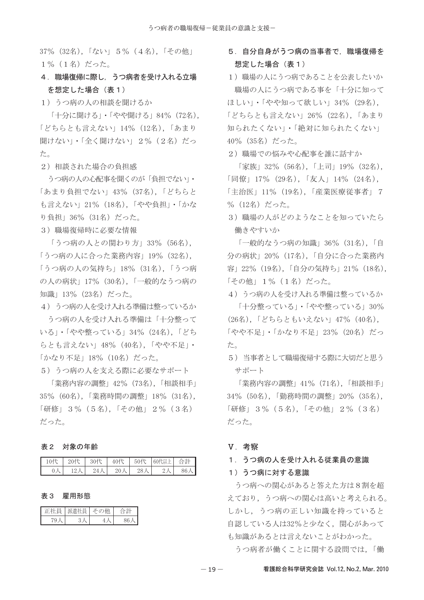37% (32名), 「ない」 5% (4名), 「その他」 1% (1名) だった。

# 4. 職場復帰に際し、うつ病者を受け入れる立場 を想定した場合(表1)

1) うつ病の人の相談を聞けるか

「十分に聞ける」・「やや聞ける」84% (72名), 「どちらとも言えない」14% (12名), 「あまり 聞けない」・「全く聞けない」 2% (2名) だっ た。

2) 相談された場合の負担感

うつ病の人の心配事を聞くのが「負担でない」・ 「あまり負担でない」43% (37名), 「どちらと も言えない」21% (18名),「やや負担」・「かな り負担」36% (31名) だった。

3) 職場復帰時に必要な情報

「うつ病の人との関わり方」33% (56名), 「うつ病の人に合った業務内容」19% (32名), 「うつ病の人の気持ち」18% (31名),「うつ病 の人の病状」17% (30名), 「一般的なうつ病の 知識」13% (23名) だった。

4) うつ病の人を受け入れる準備は整っているか

うつ病の人を受け入れる準備は「十分整って いる」・「やや整っている」34% (24名), 「どち らとも言えない」48% (40名), 「やや不足」· 「かなり不足」18%(10名)だった。

5) うつ病の人を支える際に必要なサポート

「業務内容の調整」42% (73名), 「相談相手」 35% (60名), 「業務時間の調整」18% (31名), 「研修」3% (5名), 「その他」2% (3名) だった。

### 表2 対象の年齢

| 10代            | 20代 | 30代      | 40代          | 50代         | 60代以上 | 合計 |
|----------------|-----|----------|--------------|-------------|-------|----|
| 0 <sub>2</sub> |     | А<br>24. | $20 \lambda$ | $28\lambda$ |       | 86 |

### 表 3 雇用形態

|   | w | ⇒<br>۰.  |
|---|---|----------|
| Y |   | $\alpha$ |

# 5. 自分自身がうつ病の当事者で, 職場復帰を 想定した場合 (表1)

1) 職場の人にうつ病であることを公表したいか 職場の人にうつ病である事を「十分に知って ほしい」・「やや知って欲しい」34% (29名), 「どちらとも言えない」26% (22名).「あまり 知られたくない」・「絶対に知られたくない」 40% (35名) だった。

2) 職場での悩みや心配事を誰に話すか

「家族」32% (56名), 「上司」19% (32名), 「同僚」17% (29名), 「友人」14% (24名), 「主治医」11% (19名), 「産業医療従事者」 7 % (12名) だった。

3) 職場の人がどのようなことを知っていたら 働きやすいか

「一般的なうつ病の知識」36% (31名), 「自 分の病状」20% (17名),「自分に合った業務内 容」22% (19名),「自分の気持ち」21% (18名), 「その他」1% (1名) だった。

4) うつ病の人を受け入れる準備は整っているか 「十分整っている」・「やや整っている」30%

(26名), 「どちらともいえない」47% (40名), 「やや不足」・「かなり不足」23% (20名) だっ た。

5) 当事者として職場復帰する際に大切だと思う サポート

「業務内容の調整」41% (71名), 「相談相手」 34% (50名),「勤務時間の調整」20% (35名), 「研修」3% (5名), 「その他」2% (3名) だった。

### V. 考察

#### 1. うつ病の人を受け入れる従業員の意識

## 1) うつ病に対する意識

うつ病への関心があると答えた方は8割を超 えており、うつ病への関心は高いと考えられる。 しかし、うつ病の正しい知識を持っていると 自認している人は32%と少なく、関心があって も知識があるとは言えないことがわかった。 うつ病者が働くことに関する設問では,「働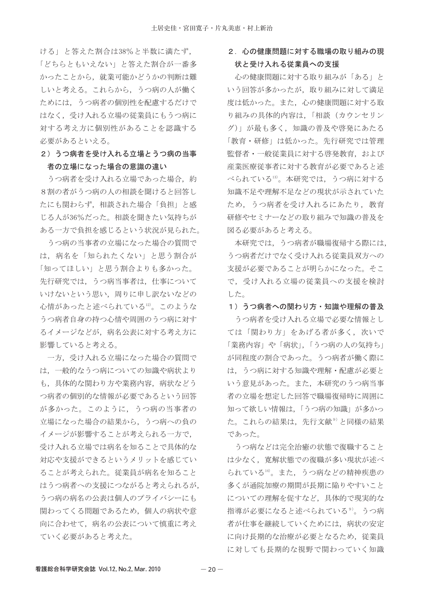ける」と答えた割合は38%と半数に満たず, 「どちらともいえない」と答えた割合が一番多 かったことから、就業可能かどうかの判断は難 しいと考える。これらから、うつ病の人が働く ためには、うつ病者の個別性を配慮するだけで はなく、受け入れる立場の従業員にもうつ病に 対する考え方に個別性があることを認識する 必要があるといえる。

# 2) うつ病者を受け入れる立場とうつ病の当事 者の立場になった場合の意識の違い

うつ病者を受け入れる立場であった場合、約 8割の者がうつ病の人の相談を聞けると回答し たにも関わらず、相談された場合「負担」と感 じる人が36%だった。相談を聞きたい気持ちが ある一方で負担を感じるという状況が見られた。

うつ病の当事者の立場になった場合の質問で は、病名を「知られたくない」と思う割合が 「知ってほしい」と思う割合よりも多かった。 先行研究では、うつ病当事者は、仕事について いけないという思い、周りに申し訳ないなどの 心情があったと述べられている12)。このような うつ病者自身の持つ心情や周囲のうつ病に対す るイメージなどが,病名公表に対する考え方に 影響していると考える。

一方、受け入れる立場になった場合の質問で は、一般的なうつ病についての知識や病状より も、具体的な関わり方や業務内容、病状などう つ病者の個別的な情報が必要であるという回答 が多かった。このように、うつ病の当事者の 立場になった場合の結果から、うつ病への負の イメージが影響することが考えられる一方で, 受け入れる立場では病名を知ることで具体的な 対応や支援ができるというメリットを感じてい ることが考えられた。従業員が病名を知ること はうつ病者への支援につながると考えられるが, うつ病の病名の公表は個人のプライバシーにも 関わってくる問題であるため、個人の病状や意 向に合わせて、病名の公表について慎重に考え ていく必要があると考えた。

# 2. 心の健康問題に対する職場の取り組みの現 状と受け入れる従業員への支援

心の健康問題に対する取り組みが「ある」と いう回答が多かったが、取り組みに対して満足 度は低かった。また、心の健康問題に対する取 り組みの具体的内容は、「相談(カウンセリン グ)」が最も多く、知識の普及や啓発にあたる 「教育・研修」は低かった。先行研究では管理 監督者・一般従業員に対する啓発教育, および 産業医療従事者に対する教育が必要であると述 べられている13)。本研究では、うつ病に対する 知識不足や理解不足などの現状が示されていた ため、うつ病者を受け入れるにあたり、教育 研修やセミナーなどの取り組みで知識の普及を 図る必要があると考える。

本研究では、うつ病者が職場復帰する際には, うつ病者だけでなく受け入れる従業員双方への 支援が必要であることが明らかになった。そこ で、受け入れる立場の従業員への支援を検討 した。

1) うつ病者への関わり方・知識や理解の普及

うつ病者を受け入れる立場で必要な情報とし ては「関わり方」をあげる者が多く,次いで 「業務内容」や「病状」、「うつ病の人の気持ち」 が同程度の割合であった。うつ病者が働く際に は、うつ病に対する知識や理解・配慮が必要と いう意見があった。また、本研究のうつ病当事 者の立場を想定した回答で職場復帰時に周囲に 知って欲しい情報は、「うつ病の知識」が多かっ た。これらの結果は、先行文献<sup>9)</sup>と同様の結果 であった。

うつ病などは完全治癒の状態で復職すること は少なく、寛解状態での復職が多い現状が述べ られている14)。また、うつ病などの精神疾患の 多くが通院加療の期間が長期に陥りやすいこと についての理解を促すなど、具体的で現実的な 指導が必要になると述べられている<sup>9)</sup>。うつ病 者が仕事を継続していくためには、病状の安定 に向け長期的な治療が必要となるため、従業員 に対しても長期的な視野で関わっていく知識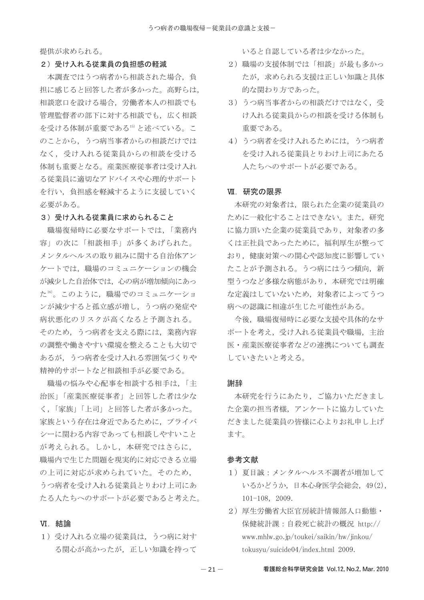提供が求められる。

#### 2) 受け入れる従業員の負担感の軽減

本調査ではうつ病者から相談された場合、負 担に感じると回答した者が多かった。高野らは, 相談窓口を設ける場合、労働者本人の相談でも 管理監督者の部下に対する相談でも、広く相談 を受ける体制が重要である15)と述べている。こ のことから、うつ病当事者からの相談だけでは なく、受け入れる従業員からの相談を受ける 体制も重要となる。産業医療従事者は受け入れ る従業員に適切なアドバイスや心理的サポート を行い、負担感を軽減するように支援していく 必要がある。

## 3) 受け入れる従業員に求められること

職場復帰時に必要なサポートでは、「業務内 容」の次に「相談相手」が多くあげられた。 メンタルヘルスの取り組みに関する自治体アン ケートでは、職場のコミュニケーションの機会 が減少した自治体では、心の病が増加傾向にあっ た16)。このように、職場でのコミュニケーショ ンが減少すると孤立感が増し、うつ病の発症や 病状悪化のリスクが高くなると予測される。 そのため、うつ病者を支える際には、業務内容 の調整や働きやすい環境を整えることも大切で あるが,うつ病者を受け入れる雰囲気づくりや 精神的サポートなど相談相手が必要である。

職場の悩みや心配事を相談する相手は、「主 治医」「産業医療従事者」と回答した者は少な く、「家族」「上司」と回答した者が多かった。 家族という存在は身近であるために、プライバ シーに関わる内容であっても相談しやすいこと が考えられる。しかし、本研究ではさらに, 職場内で生じた問題を現実的に対応できる立場 の上司に対応が求められていた。そのため, うつ病者を受け入れる従業員とりわけ上司にあ たる人たちへのサポートが必要であると考えた。

## VI. 結論

1) 受け入れる立場の従業員は、うつ病に対す る関心が高かったが、正しい知識を持って いると自認している者は少なかった。

- 2) 職場の支援体制では「相談」が最も多かっ たが、求められる支援は正しい知識と具体 的な関わり方であった。
- 3) うつ病当事者からの相談だけではなく、受 け入れる従業員からの相談を受ける体制も 重要である。
- 4) うつ病者を受け入れるためには、うつ病者 を受け入れる従業員とりわけ上司にあたる 人たちへのサポートが必要である。

#### Ⅶ. 研究の限界

本研究の対象者は、限られた企業の従業員の ために一般化することはできない。また、研究 に協力頂いた企業の従業員であり、対象者の多 くは正社員であったために、福利厚生が整って おり、健康対策への関心や認知度に影響してい たことが予測される。うつ病にはうつ傾向、新 型うつなど多様な病熊があり、本研究では明確 な定義はしていないため、対象者によってうつ 病への認識に相違が生じた可能性がある。

今後, 職場復帰時に必要な支援や具体的なサ ポートを考え、受け入れる従業員や職場、主治 医・産業医療従事者などの連携についても調査 していきたいと考える。

### 謝辞

本研究を行うにあたり、ご協力いただきまし た企業の担当者様、アンケートに協力していた だきました従業員の皆様に心よりお礼申し上げ ます。

#### 参考文献

- 1) 夏目誠: メンタルヘルス不調者が増加して いるかどうか,日本心身医学会総会,49(2),  $101-108$ , 2009.
- 2) 厚生労働省大臣官房統計情報部人口動態· 保健統計課:自殺死亡統計の概況 http:// www.mhlw.go.jp/toukei/saikin/hw/jinkou/ tokusyu/suicide04/index.html 2009.

看護総合科学研究会誌 Vol.12, No.2, Mar. 2010

 $-21-$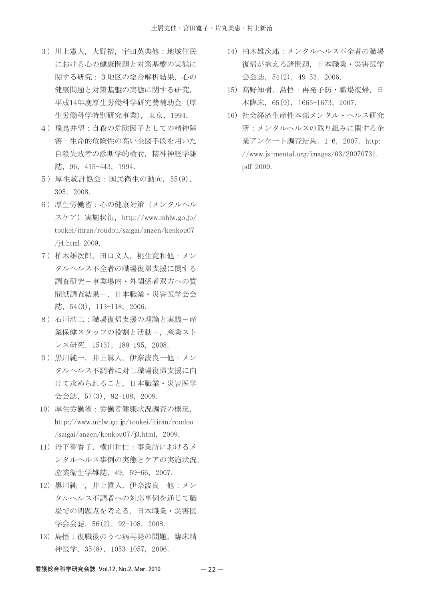- 3) 川上憲人, 大野裕, 宇田英典他: 地域住民 における心の健康問題と対策基盤の実態に 関する研究: 3地区の総合解析結果, 心の 健康問題と対策基盤の実態に関する研究、 平成14年度厚生労働科学研究費補助金(厚 生労働科学特別研究事業), 東京, 1994.
- 4) 飛鳥井望:自殺の危険因子としての精神障 害ー生命的危険性の高い企図手段を用いた 自殺失敗者の診断学的検討、精神神経学雑 誌, 96, 415-443, 1994.
- 5) 厚生統計協会:国民衛生の動向, 55(9), 305, 2008.
- 6) 厚生労働省:心の健康対策(メンタルヘル スケア) 実施状況, http://www.mhlw.go.jp/ toukei/itiran/roudou/saigai/anzen/kenkou07 /j4.html 2009.
- 7) 柏木雄次郎, 田口文人, 桃生寛和他: メン タルヘルス不全者の職場復帰支援に関する 調査研究ー事業場内・外関係者双方への質 問紙調査結果-, 日本職業 · 災害医学会会 誌,  $54(3)$ ,  $113-118$ ,  $2006$ .
- 8) 石川浩二:職場復帰支援の理論と実践一産 業保健スタッフの役割と活動ー、産業スト レス研究. 15(3), 189-195, 2008.
- 9) 黒川純一, 井上眞人, 伊奈波良一他: メン タルヘルス不調者に対し職場復帰支援に向 けて求められること、日本職業・災害医学 会会誌, 57(3), 92-108, 2009.
- 10) 厚生労働省:労働者健康状況調査の概況, http://www.mhlw.go.jp/toukei/itiran/roudou /saigai/anzen/kenkou07/j3.html, 2009.
- 11) 丹下智香子, 横山和仁:事業所におけるメ ンタルヘルス事例の実態とケアの実施状況, 産業衛生学雑誌, 49, 59-66, 2007.
- 12) 黒川純一, 井上眞人, 伊奈波良一他: メン タルヘルス不調者への対応事例を通じて職 場での問題点を考える、日本職業・災害医 学会会誌, 56(2), 92-108, 2008.
- 13) 島悟:復職後のうつ病再発の問題,臨床精 神医学, 35(8), 1053-1057, 2006.
- 14) 柏木雄次郎:メンタルヘルス不全者の職場 復帰が抱える諸問題、日本職業・災害医学 会会誌, 54(2), 49-53, 2006.
- 15) 高野知樹, 島悟:再発予防·職場復帰, 日 本臨床, 65(9), 1665-1673, 2007.
- 16) 社会経済生産性本部メンタル・ヘルス研究 所:メンタルヘルスの取り組みに関する企 業アンケート調査結果, 1-6, 2007. http: //www.js-mental.org/images/03/20070731. ndf 2009.

看護総合科学研究会誌 Vol.12, No.2, Mar. 2010